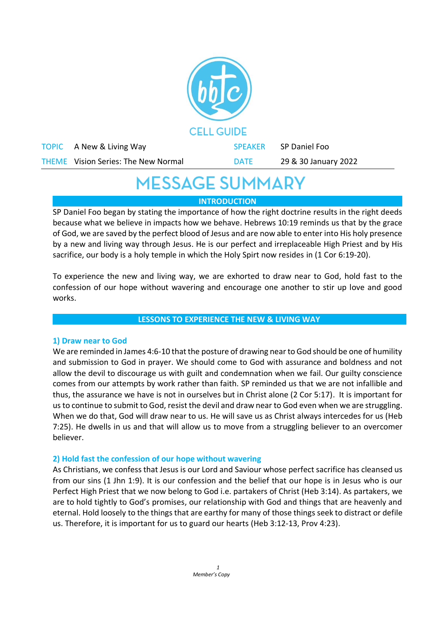

# **MESSAGE SUMMARY**

**INTRODUCTION**

SP Daniel Foo began by stating the importance of how the right doctrine results in the right deeds because what we believe in impacts how we behave. Hebrews 10:19 reminds us that by the grace of God, we are saved by the perfect blood of Jesus and are now able to enter into His holy presence by a new and living way through Jesus. He is our perfect and irreplaceable High Priest and by His sacrifice, our body is a holy temple in which the Holy Spirt now resides in (1 Cor 6:19-20).

To experience the new and living way, we are exhorted to draw near to God, hold fast to the confession of our hope without wavering and encourage one another to stir up love and good works.

## **LESSONS TO EXPERIENCE THE NEW & LIVING WAY**

## **1) Draw near to God**

We are reminded in James 4:6-10 that the posture of drawing near to God should be one of humility and submission to God in prayer. We should come to God with assurance and boldness and not allow the devil to discourage us with guilt and condemnation when we fail. Our guilty conscience comes from our attempts by work rather than faith. SP reminded us that we are not infallible and thus, the assurance we have is not in ourselves but in Christ alone (2 Cor 5:17). It is important for us to continue to submit to God, resist the devil and draw near to God even when we are struggling. When we do that, God will draw near to us. He will save us as Christ always intercedes for us (Heb 7:25). He dwells in us and that will allow us to move from a struggling believer to an overcomer believer.

## **2) Hold fast the confession of our hope without wavering**

As Christians, we confess that Jesus is our Lord and Saviour whose perfect sacrifice has cleansed us from our sins (1 Jhn 1:9). It is our confession and the belief that our hope is in Jesus who is our Perfect High Priest that we now belong to God i.e. partakers of Christ (Heb 3:14). As partakers, we are to hold tightly to God's promises, our relationship with God and things that are heavenly and eternal. Hold loosely to the things that are earthy for many of those things seek to distract or defile us. Therefore, it is important for us to guard our hearts (Heb 3:12-13, Prov 4:23).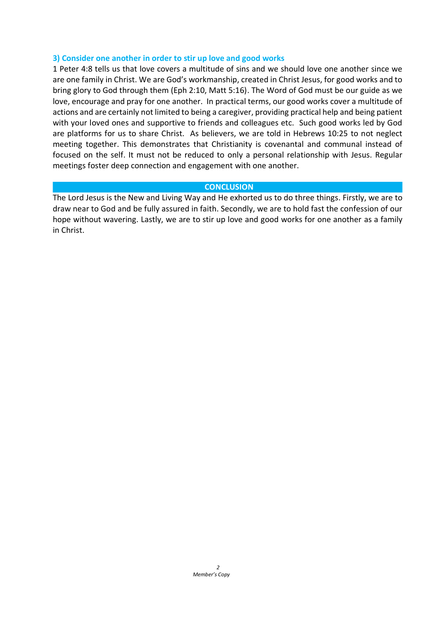#### **3) Consider one another in order to stir up love and good works**

1 Peter 4:8 tells us that love covers a multitude of sins and we should love one another since we are one family in Christ. We are God's workmanship, created in Christ Jesus, for good works and to bring glory to God through them (Eph 2:10, Matt 5:16). The Word of God must be our guide as we love, encourage and pray for one another. In practical terms, our good works cover a multitude of actions and are certainly not limited to being a caregiver, providing practical help and being patient with your loved ones and supportive to friends and colleagues etc. Such good works led by God are platforms for us to share Christ. As believers, we are told in Hebrews 10:25 to not neglect meeting together. This demonstrates that Christianity is covenantal and communal instead of focused on the self. It must not be reduced to only a personal relationship with Jesus. Regular meetings foster deep connection and engagement with one another.

#### **CONCLUSION**

The Lord Jesus is the New and Living Way and He exhorted us to do three things. Firstly, we are to draw near to God and be fully assured in faith. Secondly, we are to hold fast the confession of our hope without wavering. Lastly, we are to stir up love and good works for one another as a family in Christ.